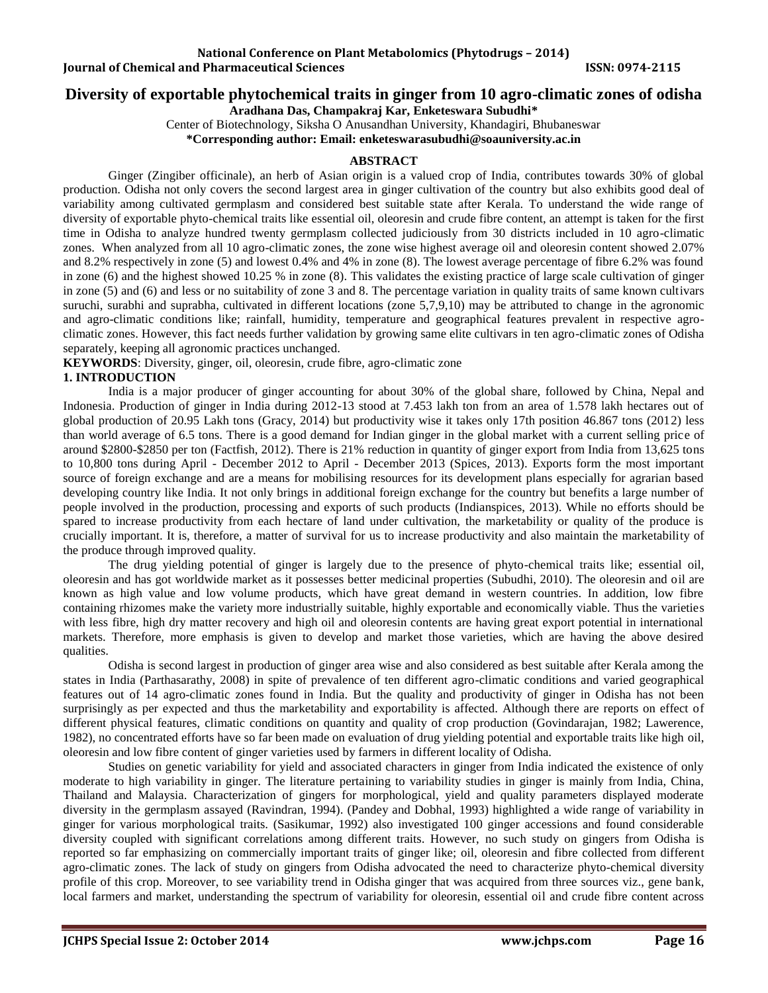## **Diversity of exportable phytochemical traits in ginger from 10 agro-climatic zones of odisha**

**Aradhana Das, Champakraj Kar, Enketeswara Subudhi\***

Center of Biotechnology, Siksha O Anusandhan University, Khandagiri, Bhubaneswar

**\*Corresponding author: Email: enketeswarasubudhi@soauniversity.ac.in**

### **ABSTRACT**

Ginger (Zingiber officinale), an herb of Asian origin is a valued crop of India, contributes towards 30% of global production. Odisha not only covers the second largest area in ginger cultivation of the country but also exhibits good deal of variability among cultivated germplasm and considered best suitable state after Kerala. To understand the wide range of diversity of exportable phyto-chemical traits like essential oil, oleoresin and crude fibre content, an attempt is taken for the first time in Odisha to analyze hundred twenty germplasm collected judiciously from 30 districts included in 10 agro-climatic zones. When analyzed from all 10 agro-climatic zones, the zone wise highest average oil and oleoresin content showed 2.07% and 8.2% respectively in zone (5) and lowest 0.4% and 4% in zone (8). The lowest average percentage of fibre 6.2% was found in zone (6) and the highest showed 10.25 % in zone (8). This validates the existing practice of large scale cultivation of ginger in zone (5) and (6) and less or no suitability of zone 3 and 8. The percentage variation in quality traits of same known cultivars suruchi, surabhi and suprabha, cultivated in different locations (zone 5,7,9,10) may be attributed to change in the agronomic and agro-climatic conditions like; rainfall, humidity, temperature and geographical features prevalent in respective agroclimatic zones. However, this fact needs further validation by growing same elite cultivars in ten agro-climatic zones of Odisha separately, keeping all agronomic practices unchanged.

**KEYWORDS**: Diversity, ginger, oil, oleoresin, crude fibre, agro-climatic zone

## **1. INTRODUCTION**

India is a major producer of ginger accounting for about 30% of the global share, followed by China, Nepal and Indonesia. Production of ginger in India during 2012-13 stood at 7.453 lakh ton from an area of 1.578 lakh hectares out of global production of 20.95 Lakh tons (Gracy, 2014) but productivity wise it takes only 17th position 46.867 tons (2012) less than world average of 6.5 tons. There is a good demand for Indian ginger in the global market with a current selling price of around \$2800-\$2850 per ton (Factfish, 2012). There is 21% reduction in quantity of ginger export from India from 13,625 tons to 10,800 tons during April - December 2012 to April - December 2013 (Spices, 2013). Exports form the most important source of foreign exchange and are a means for mobilising resources for its development plans especially for agrarian based developing country like India. It not only brings in additional foreign exchange for the country but benefits a large number of people involved in the production, processing and exports of such products (Indianspices, 2013). While no efforts should be spared to increase productivity from each hectare of land under cultivation, the marketability or quality of the produce is crucially important. It is, therefore, a matter of survival for us to increase productivity and also maintain the marketability of the produce through improved quality.

The drug yielding potential of ginger is largely due to the presence of phyto-chemical traits like; essential oil, oleoresin and has got worldwide market as it possesses better medicinal properties (Subudhi, 2010). The oleoresin and oil are known as high value and low volume products, which have great demand in western countries. In addition, low fibre containing rhizomes make the variety more industrially suitable, highly exportable and economically viable. Thus the varieties with less fibre, high dry matter recovery and high oil and oleoresin contents are having great export potential in international markets. Therefore, more emphasis is given to develop and market those varieties, which are having the above desired qualities.

Odisha is second largest in production of ginger area wise and also considered as best suitable after Kerala among the states in India (Parthasarathy, 2008) in spite of prevalence of ten different agro-climatic conditions and varied geographical features out of 14 agro-climatic zones found in India. But the quality and productivity of ginger in Odisha has not been surprisingly as per expected and thus the marketability and exportability is affected. Although there are reports on effect of different physical features, climatic conditions on quantity and quality of crop production (Govindarajan, 1982; Lawerence, 1982), no concentrated efforts have so far been made on evaluation of drug yielding potential and exportable traits like high oil, oleoresin and low fibre content of ginger varieties used by farmers in different locality of Odisha.

Studies on genetic variability for yield and associated characters in ginger from India indicated the existence of only moderate to high variability in ginger. The literature pertaining to variability studies in ginger is mainly from India, China, Thailand and Malaysia. Characterization of gingers for morphological, yield and quality parameters displayed moderate diversity in the germplasm assayed (Ravindran, 1994). (Pandey and Dobhal, 1993) highlighted a wide range of variability in ginger for various morphological traits. (Sasikumar, 1992) also investigated 100 ginger accessions and found considerable diversity coupled with significant correlations among different traits. However, no such study on gingers from Odisha is reported so far emphasizing on commercially important traits of ginger like; oil, oleoresin and fibre collected from different agro-climatic zones. The lack of study on gingers from Odisha advocated the need to characterize phyto-chemical diversity profile of this crop. Moreover, to see variability trend in Odisha ginger that was acquired from three sources viz., gene bank, local farmers and market, understanding the spectrum of variability for oleoresin, essential oil and crude fibre content across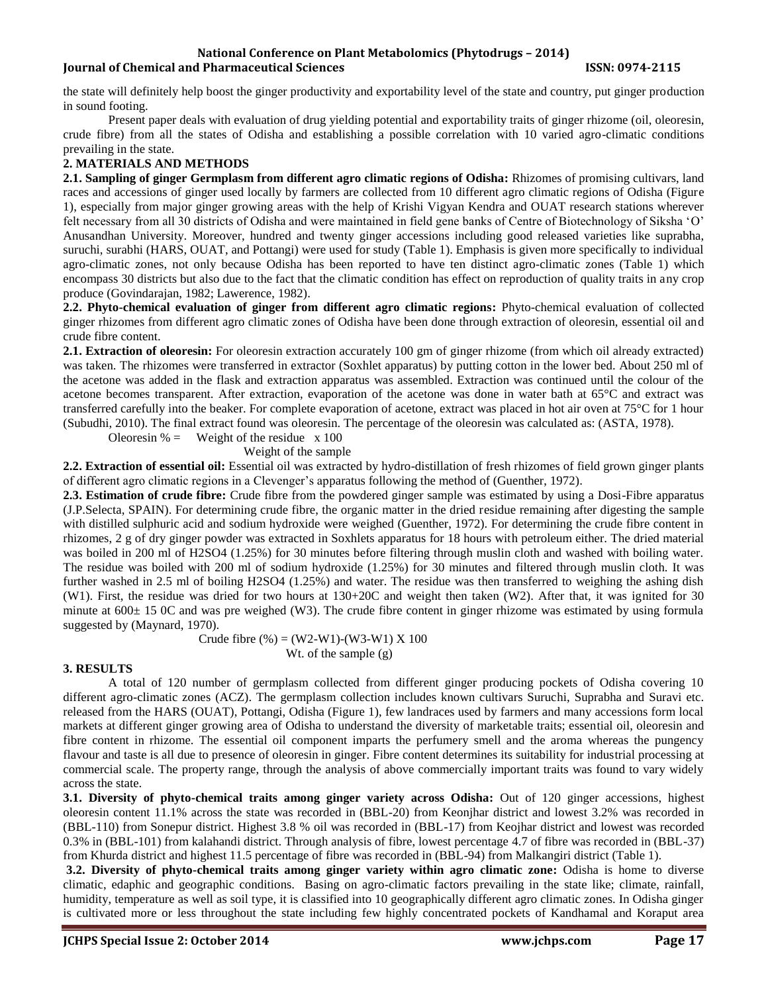the state will definitely help boost the ginger productivity and exportability level of the state and country, put ginger production in sound footing.

Present paper deals with evaluation of drug yielding potential and exportability traits of ginger rhizome (oil, oleoresin, crude fibre) from all the states of Odisha and establishing a possible correlation with 10 varied agro-climatic conditions prevailing in the state.

### **2. MATERIALS AND METHODS**

**2.1. Sampling of ginger Germplasm from different agro climatic regions of Odisha:** Rhizomes of promising cultivars, land races and accessions of ginger used locally by farmers are collected from 10 different agro climatic regions of Odisha (Figure 1), especially from major ginger growing areas with the help of Krishi Vigyan Kendra and OUAT research stations wherever felt necessary from all 30 districts of Odisha and were maintained in field gene banks of Centre of Biotechnology of Siksha 'O' Anusandhan University. Moreover, hundred and twenty ginger accessions including good released varieties like suprabha, suruchi, surabhi (HARS, OUAT, and Pottangi) were used for study (Table 1). Emphasis is given more specifically to individual agro-climatic zones, not only because Odisha has been reported to have ten distinct agro-climatic zones (Table 1) which encompass 30 districts but also due to the fact that the climatic condition has effect on reproduction of quality traits in any crop produce (Govindarajan, 1982; Lawerence, 1982).

**2.2. Phyto-chemical evaluation of ginger from different agro climatic regions:** Phyto-chemical evaluation of collected ginger rhizomes from different agro climatic zones of Odisha have been done through extraction of oleoresin, essential oil and crude fibre content.

**2.1. Extraction of oleoresin:** For oleoresin extraction accurately 100 gm of ginger rhizome (from which oil already extracted) was taken. The rhizomes were transferred in extractor (Soxhlet apparatus) by putting cotton in the lower bed. About 250 ml of the acetone was added in the flask and extraction apparatus was assembled. Extraction was continued until the colour of the acetone becomes transparent. After extraction, evaporation of the acetone was done in water bath at 65°C and extract was transferred carefully into the beaker. For complete evaporation of acetone, extract was placed in hot air oven at 75°C for 1 hour (Subudhi, 2010). The final extract found was oleoresin. The percentage of the oleoresin was calculated as: (ASTA, 1978).

Oleoresin  $% =$  Weight of the residue x 100 Weight of the sample

**2.2. Extraction of essential oil:** Essential oil was extracted by hydro-distillation of fresh rhizomes of field grown ginger plants of different agro climatic regions in a Clevenger's apparatus following the method of (Guenther, 1972).

**2.3. Estimation of crude fibre:** Crude fibre from the powdered ginger sample was estimated by using a Dosi-Fibre apparatus (J.P.Selecta, SPAIN). For determining crude fibre, the organic matter in the dried residue remaining after digesting the sample with distilled sulphuric acid and sodium hydroxide were weighed (Guenther, 1972). For determining the crude fibre content in rhizomes, 2 g of dry ginger powder was extracted in Soxhlets apparatus for 18 hours with petroleum either. The dried material was boiled in 200 ml of H2SO4 (1.25%) for 30 minutes before filtering through muslin cloth and washed with boiling water. The residue was boiled with 200 ml of sodium hydroxide (1.25%) for 30 minutes and filtered through muslin cloth. It was further washed in 2.5 ml of boiling H2SO4 (1.25%) and water. The residue was then transferred to weighing the ashing dish (W1). First, the residue was dried for two hours at 130+20C and weight then taken (W2). After that, it was ignited for 30 minute at  $600\pm 15$  OC and was pre weighed (W3). The crude fibre content in ginger rhizome was estimated by using formula suggested by (Maynard, 1970).

> Crude fibre  $(\%)=(W2-W1)-(W3-W1)X100$ Wt. of the sample (g)

## **3. RESULTS**

A total of 120 number of germplasm collected from different ginger producing pockets of Odisha covering 10 different agro-climatic zones (ACZ). The germplasm collection includes known cultivars Suruchi, Suprabha and Suravi etc. released from the HARS (OUAT), Pottangi, Odisha (Figure 1), few landraces used by farmers and many accessions form local markets at different ginger growing area of Odisha to understand the diversity of marketable traits; essential oil, oleoresin and fibre content in rhizome. The essential oil component imparts the perfumery smell and the aroma whereas the pungency flavour and taste is all due to presence of oleoresin in ginger. Fibre content determines its suitability for industrial processing at commercial scale. The property range, through the analysis of above commercially important traits was found to vary widely across the state.

**3.1. Diversity of phyto-chemical traits among ginger variety across Odisha:** Out of 120 ginger accessions, highest oleoresin content 11.1% across the state was recorded in (BBL-20) from Keonjhar district and lowest 3.2% was recorded in (BBL-110) from Sonepur district. Highest 3.8 % oil was recorded in (BBL-17) from Keojhar district and lowest was recorded 0.3% in (BBL-101) from kalahandi district. Through analysis of fibre, lowest percentage 4.7 of fibre was recorded in (BBL-37) from Khurda district and highest 11.5 percentage of fibre was recorded in (BBL-94) from Malkangiri district (Table 1).

**3.2. Diversity of phyto-chemical traits among ginger variety within agro climatic zone:** Odisha is home to diverse climatic, edaphic and geographic conditions. Basing on agro-climatic factors prevailing in the state like; climate, rainfall, humidity, temperature as well as soil type, it is classified into 10 geographically different agro climatic zones. In Odisha ginger is cultivated more or less throughout the state including few highly concentrated pockets of Kandhamal and Koraput area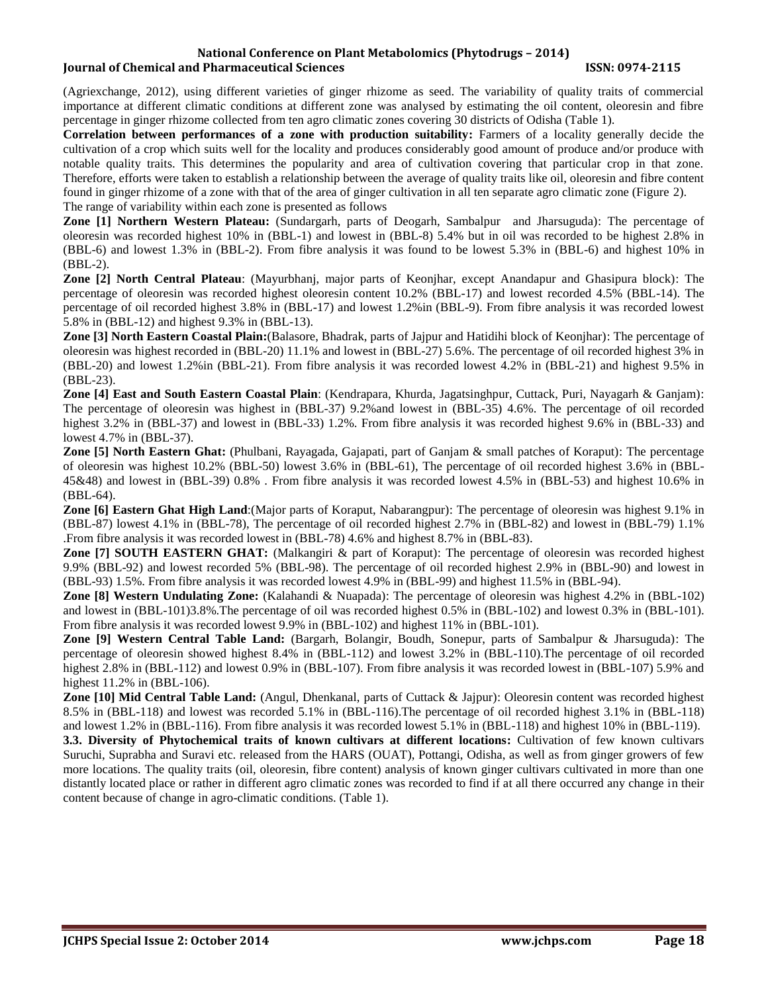(Agriexchange, 2012), using different varieties of ginger rhizome as seed. The variability of quality traits of commercial importance at different climatic conditions at different zone was analysed by estimating the oil content, oleoresin and fibre percentage in ginger rhizome collected from ten agro climatic zones covering 30 districts of Odisha (Table 1).

**Correlation between performances of a zone with production suitability:** Farmers of a locality generally decide the cultivation of a crop which suits well for the locality and produces considerably good amount of produce and/or produce with notable quality traits. This determines the popularity and area of cultivation covering that particular crop in that zone. Therefore, efforts were taken to establish a relationship between the average of quality traits like oil, oleoresin and fibre content found in ginger rhizome of a zone with that of the area of ginger cultivation in all ten separate agro climatic zone (Figure 2). The range of variability within each zone is presented as follows

**Zone [1] Northern Western Plateau:** (Sundargarh, parts of Deogarh, Sambalpur and Jharsuguda): The percentage of oleoresin was recorded highest 10% in (BBL-1) and lowest in (BBL-8) 5.4% but in oil was recorded to be highest 2.8% in (BBL-6) and lowest 1.3% in (BBL-2). From fibre analysis it was found to be lowest 5.3% in (BBL-6) and highest 10% in (BBL-2).

**Zone [2] North Central Plateau**: (Mayurbhanj, major parts of Keonjhar, except Anandapur and Ghasipura block): The percentage of oleoresin was recorded highest oleoresin content 10.2% (BBL-17) and lowest recorded 4.5% (BBL-14). The percentage of oil recorded highest 3.8% in (BBL-17) and lowest 1.2%in (BBL-9). From fibre analysis it was recorded lowest 5.8% in (BBL-12) and highest 9.3% in (BBL-13).

**Zone [3] North Eastern Coastal Plain:**(Balasore, Bhadrak, parts of Jajpur and Hatidihi block of Keonjhar): The percentage of oleoresin was highest recorded in (BBL-20) 11.1% and lowest in (BBL-27) 5.6%. The percentage of oil recorded highest 3% in (BBL-20) and lowest 1.2%in (BBL-21). From fibre analysis it was recorded lowest 4.2% in (BBL-21) and highest 9.5% in (BBL-23).

**Zone [4] East and South Eastern Coastal Plain**: (Kendrapara, Khurda, Jagatsinghpur, Cuttack, Puri, Nayagarh & Ganjam): The percentage of oleoresin was highest in (BBL-37) 9.2%and lowest in (BBL-35) 4.6%. The percentage of oil recorded highest 3.2% in (BBL-37) and lowest in (BBL-33) 1.2%. From fibre analysis it was recorded highest 9.6% in (BBL-33) and lowest 4.7% in (BBL-37).

**Zone [5] North Eastern Ghat:** (Phulbani, Rayagada, Gajapati, part of Ganjam & small patches of Koraput): The percentage of oleoresin was highest 10.2% (BBL-50) lowest 3.6% in (BBL-61), The percentage of oil recorded highest 3.6% in (BBL-45&48) and lowest in (BBL-39) 0.8% . From fibre analysis it was recorded lowest 4.5% in (BBL-53) and highest 10.6% in (BBL-64).

**Zone [6] Eastern Ghat High Land**:(Major parts of Koraput, Nabarangpur): The percentage of oleoresin was highest 9.1% in (BBL-87) lowest 4.1% in (BBL-78), The percentage of oil recorded highest 2.7% in (BBL-82) and lowest in (BBL-79) 1.1% .From fibre analysis it was recorded lowest in (BBL-78) 4.6% and highest 8.7% in (BBL-83).

**Zone [7] SOUTH EASTERN GHAT:** (Malkangiri & part of Koraput): The percentage of oleoresin was recorded highest 9.9% (BBL-92) and lowest recorded 5% (BBL-98). The percentage of oil recorded highest 2.9% in (BBL-90) and lowest in (BBL-93) 1.5%. From fibre analysis it was recorded lowest 4.9% in (BBL-99) and highest 11.5% in (BBL-94).

**Zone [8] Western Undulating Zone:** (Kalahandi & Nuapada): The percentage of oleoresin was highest 4.2% in (BBL-102) and lowest in (BBL-101)3.8%.The percentage of oil was recorded highest 0.5% in (BBL-102) and lowest 0.3% in (BBL-101). From fibre analysis it was recorded lowest 9.9% in (BBL-102) and highest 11% in (BBL-101).

**Zone [9] Western Central Table Land:** (Bargarh, Bolangir, Boudh, Sonepur, parts of Sambalpur & Jharsuguda): The percentage of oleoresin showed highest 8.4% in (BBL-112) and lowest 3.2% in (BBL-110).The percentage of oil recorded highest 2.8% in (BBL-112) and lowest 0.9% in (BBL-107). From fibre analysis it was recorded lowest in (BBL-107) 5.9% and highest 11.2% in (BBL-106).

**Zone [10] Mid Central Table Land:** (Angul, Dhenkanal, parts of Cuttack & Jajpur): Oleoresin content was recorded highest 8.5% in (BBL-118) and lowest was recorded 5.1% in (BBL-116).The percentage of oil recorded highest 3.1% in (BBL-118) and lowest 1.2% in (BBL-116). From fibre analysis it was recorded lowest 5.1% in (BBL-118) and highest 10% in (BBL-119).

**3.3. Diversity of Phytochemical traits of known cultivars at different locations:** Cultivation of few known cultivars Suruchi, Suprabha and Suravi etc. released from the HARS (OUAT), Pottangi, Odisha, as well as from ginger growers of few more locations. The quality traits (oil, oleoresin, fibre content) analysis of known ginger cultivars cultivated in more than one distantly located place or rather in different agro climatic zones was recorded to find if at all there occurred any change in their content because of change in agro-climatic conditions. (Table 1).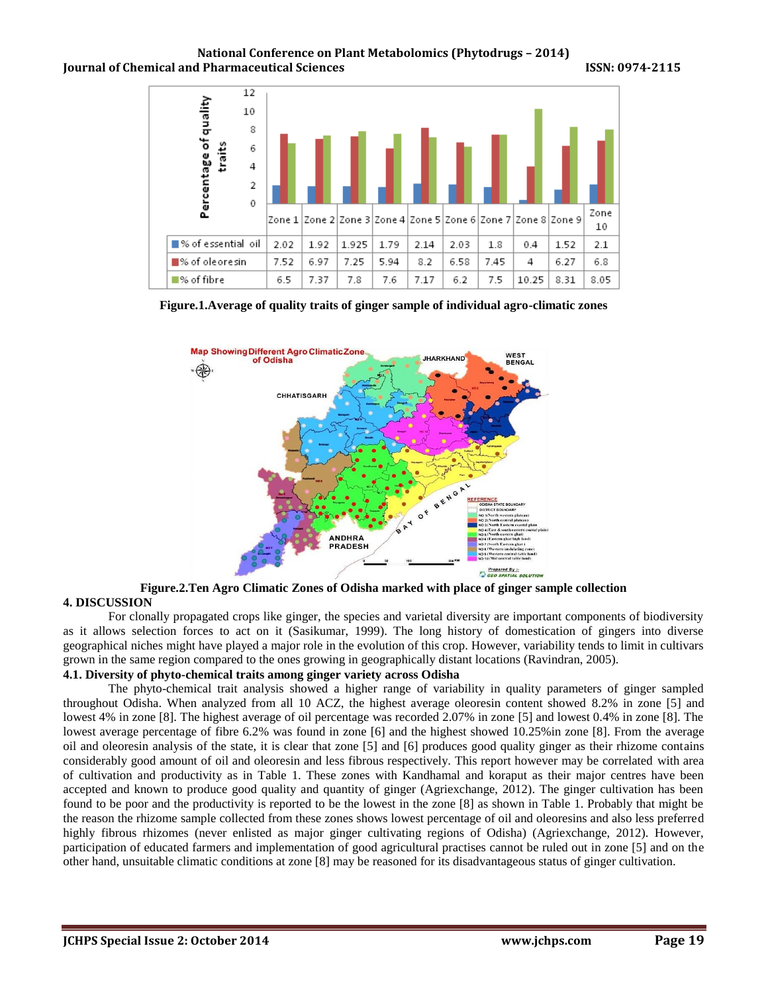

**Figure.1.Average of quality traits of ginger sample of individual agro-climatic zones**



**Figure.2.Ten Agro Climatic Zones of Odisha marked with place of ginger sample collection 4. DISCUSSION**

For clonally propagated crops like ginger, the species and varietal diversity are important components of biodiversity as it allows selection forces to act on it (Sasikumar, 1999). The long history of domestication of gingers into diverse geographical niches might have played a major role in the evolution of this crop. However, variability tends to limit in cultivars grown in the same region compared to the ones growing in geographically distant locations (Ravindran, 2005).

## **4.1. Diversity of phyto-chemical traits among ginger variety across Odisha**

The phyto-chemical trait analysis showed a higher range of variability in quality parameters of ginger sampled throughout Odisha. When analyzed from all 10 ACZ, the highest average oleoresin content showed 8.2% in zone [5] and lowest 4% in zone [8]. The highest average of oil percentage was recorded 2.07% in zone [5] and lowest 0.4% in zone [8]. The lowest average percentage of fibre 6.2% was found in zone [6] and the highest showed 10.25%in zone [8]. From the average oil and oleoresin analysis of the state, it is clear that zone [5] and [6] produces good quality ginger as their rhizome contains considerably good amount of oil and oleoresin and less fibrous respectively. This report however may be correlated with area of cultivation and productivity as in Table 1. These zones with Kandhamal and koraput as their major centres have been accepted and known to produce good quality and quantity of ginger (Agriexchange, 2012). The ginger cultivation has been found to be poor and the productivity is reported to be the lowest in the zone [8] as shown in Table 1. Probably that might be the reason the rhizome sample collected from these zones shows lowest percentage of oil and oleoresins and also less preferred highly fibrous rhizomes (never enlisted as major ginger cultivating regions of Odisha) (Agriexchange, 2012). However, participation of educated farmers and implementation of good agricultural practises cannot be ruled out in zone [5] and on the other hand, unsuitable climatic conditions at zone [8] may be reasoned for its disadvantageous status of ginger cultivation.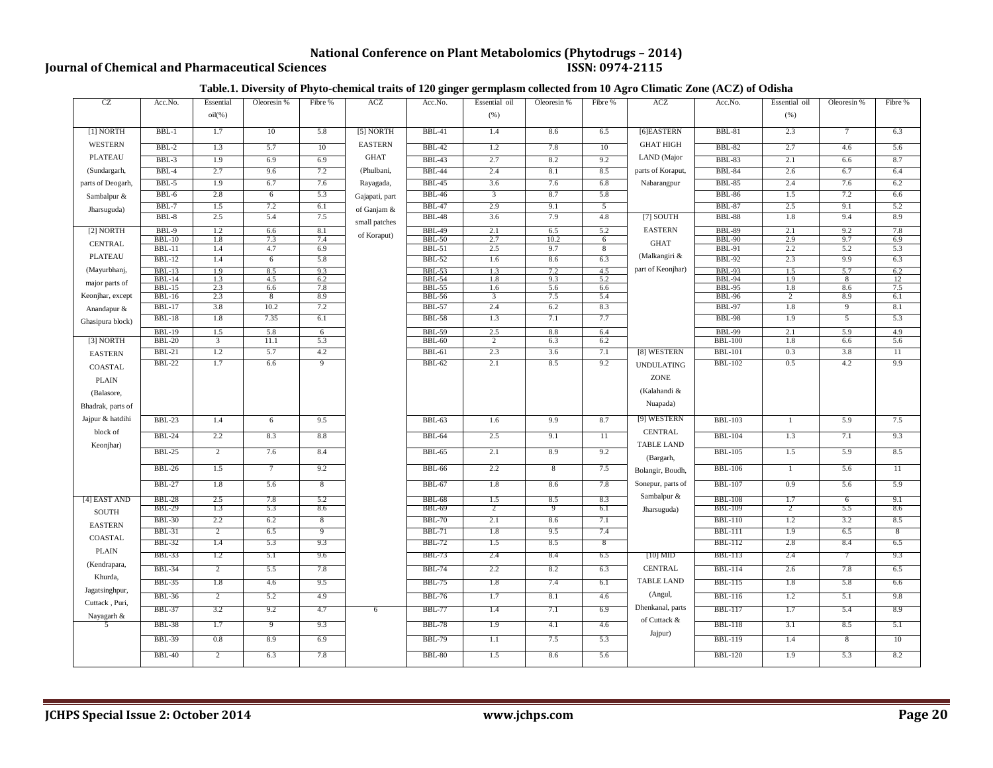# **National Conference on Plant Metabolomics (Phytodrugs – 2014)**<br>ISSN: 0974-2115

## **Journal of Chemical and Pharmaceutical Sciences**

### **Table.1. Diversity of Phyto-chemical traits of 120 ginger germplasm collected from 10 Agro Climatic Zone (ACZ) of Odisha**

| CZ                | Acc.No.                   | Essential      | Oleoresin %     | Fibre %    | <b>ACZ</b>     | $\mathbf{\ }$<br>$\bullet$<br>Acc.No. | o<br>Essential oil | Oleoresin %    | Fibre %        | <b>ACZ</b>        | Acc.No.                        | Essential oil  | Oleoresin %    | Fibre %   |
|-------------------|---------------------------|----------------|-----------------|------------|----------------|---------------------------------------|--------------------|----------------|----------------|-------------------|--------------------------------|----------------|----------------|-----------|
|                   |                           |                |                 |            |                |                                       |                    |                |                |                   |                                |                |                |           |
|                   |                           | $oil(\%)$      |                 |            |                |                                       | (% )               |                |                |                   |                                | (% )           |                |           |
| $[1]$ NORTH       | $BBL-1$                   | 1.7            | 10              | 5.8        | $[5]$ NORTH    | <b>BBL-41</b>                         | 1.4                | 8.6            | 6.5            | [6]EASTERN        | <b>BBL-81</b>                  | 2.3            | $\tau$         | 6.3       |
| <b>WESTERN</b>    | $BBL-2$                   | 1.3            | 5.7             | 10         | <b>EASTERN</b> | <b>BBL-42</b>                         | 1.2                | 7.8            | 10             | <b>GHAT HIGH</b>  | <b>BBL-82</b>                  | 2.7            | 4.6            | 5.6       |
| <b>PLATEAU</b>    | $BBL-3$                   | 1.9            | 6.9             | 6.9        | <b>GHAT</b>    | <b>BBL-43</b>                         | 2.7                | 8.2            | 9.2            | LAND (Major       | <b>BBL-83</b>                  | 2.1            | 6.6            | 8.7       |
| (Sundargarh,      | $BBL-4$                   | 2.7            | 9.6             | 7.2        | (Phulbani,     | <b>BBL-44</b>                         | 2.4                | 8.1            | 8.5            | parts of Koraput, | <b>BBL-84</b>                  | 2.6            | 6.7            | 6.4       |
| parts of Deogarh, | $BBL-5$                   | 1.9            | 6.7             | 7.6        | Rayagada,      | <b>BBL-45</b>                         | 3.6                | 7.6            | 6.8            | Nabarangpur       | <b>BBL-85</b>                  | 2.4            | 7.6            | 6.2       |
| Sambalpur &       | BBL-6                     | 2.8            | 6               | 5.3        | Gajapati, part | <b>BBL-46</b>                         | 3                  | 8.7            | 5.8            |                   | <b>BBL-86</b>                  | 1.5            | 7.2            | 6.6       |
| Jharsuguda)       | $BBL-7$                   | 1.5            | 7.2             | 6.1        | of Ganjam &    | <b>BBL-47</b>                         | 2.9                | 9.1            | $\overline{5}$ |                   | <b>BBL-87</b>                  | 2.5            | 9.1            | 5.2       |
|                   | $BBL-8$                   | 2.5            | 5.4             | 7.5        | small patches  | <b>BBL-48</b>                         | 3.6                | 7.9            | 4.8            | [7] SOUTH         | <b>BBL-88</b>                  | 1.8            | 9.4            | 8.9       |
| [2] NORTH         | BBL-9                     | 1.2            | 6.6             | 8.1        |                | <b>BBL-49</b>                         | 2.1                | 6.5            | 5.2            | <b>EASTERN</b>    | <b>BBL-89</b>                  | 2.1            | 9.2            | 7.8       |
| <b>CENTRAL</b>    | $BBL-10$                  | 1.8            | 7.3             | 7.4        | of Koraput)    | <b>BBL-50</b>                         | 2.7                | 10.2           | 6              | <b>GHAT</b>       | <b>BBL-90</b>                  | 2.9            | 9.7            | 6.9       |
| PLATEAU           | <b>BBL-11</b>             | 1.4            | 4.7             | 6.9        |                | <b>BBL-51</b>                         | 2.5                | 9.7            | 8              | (Malkangiri &     | <b>BBL-91</b>                  | 2.2            | 5.2            | 5.3       |
|                   | <b>BBL-12</b>             | 1.4            | 6               | 5.8        |                | <b>BBL-52</b>                         | 1.6                | 8.6            | 6.3            | part of Keonjhar) | <b>BBL-92</b>                  | 2.3            | 9.9            | 6.3       |
| (Mayurbhanj,      | $BBL-13$<br><b>BBL-14</b> | 1.9<br>1.3     | 8.5<br>4.5      | 9.3<br>6.2 |                | <b>BBL-53</b><br><b>BBL-54</b>        | 1.3<br>1.8         | 7.2<br>9.3     | 4.5<br>5.2     |                   | <b>BBL-93</b><br><b>BBL-94</b> | 1.5<br>1.9     | 5.7<br>8       | 6.2<br>12 |
| major parts of    | $BBL-15$                  | 2.3            | 6.6             | 7.8        |                | <b>BBL-55</b>                         | 1.6                | 5.6            | 6.6            |                   | <b>BBL-95</b>                  | 1.8            | 8.6            | 7.5       |
| Keonjhar, except  | <b>BBL-16</b>             | 2.3            | 8               | 8.9        |                | <b>BBL-56</b>                         | 3                  | 7.5            | 5.4            |                   | <b>BBL-96</b>                  | $\overline{2}$ | 8.9            | 6.1       |
| Anandapur &       | <b>BBL-17</b>             | 3.8            | 10.2            | 7.2        |                | <b>BBL-57</b>                         | 2.4                | 6.2            | 8.3            |                   | <b>BBL-97</b>                  | 1.8            | $\overline{9}$ | 8.1       |
| Ghasipura block)  | <b>BBL-18</b>             | 1.8            | 7.35            | 6.1        |                | <b>BBL-58</b>                         | 1.3                | 7.1            | 7.7            |                   | <b>BBL-98</b>                  | 1.9            | $\overline{5}$ | 5.3       |
|                   | <b>BBL-19</b>             | 1.5            | 5.8             | 6          |                | <b>BBL-59</b>                         | 2.5                | 8.8            | 6.4            |                   | <b>BBL-99</b>                  | 2.1            | 5.9            | 4.9       |
| [3] NORTH         | <b>BBL-20</b>             | 3              | 11.1            | 5.3        |                | <b>BBL-60</b>                         | $\overline{c}$     | 6.3            | 6.2            |                   | <b>BBL-100</b>                 | 1.8            | 6.6            | 5.6       |
| <b>EASTERN</b>    | <b>BBL-21</b>             | 1.2            | 5.7             | 4.2        |                | <b>BBL-61</b>                         | 2.3                | 3.6            | 7.1            | [8] WESTERN       | <b>BBL-101</b>                 | 0.3            | 3.8            | 11        |
| <b>COASTAL</b>    | <b>BBL-22</b>             | 1.7            | 6.6             | 9          |                | <b>BBL-62</b>                         | 2.1                | 8.5            | 9.2            | <b>UNDULATING</b> | <b>BBL-102</b>                 | 0.5            | 4.2            | 9.9       |
| <b>PLAIN</b>      |                           |                |                 |            |                |                                       |                    |                |                | ZONE              |                                |                |                |           |
| (Balasore,        |                           |                |                 |            |                |                                       |                    |                |                | (Kalahandi &      |                                |                |                |           |
| Bhadrak, parts of |                           |                |                 |            |                |                                       |                    |                |                | Nuapada)          |                                |                |                |           |
| Jajpur & hatdihi  | <b>BBL-23</b>             | 1.4            | $6\overline{6}$ | 9.5        |                | <b>BBL-63</b>                         | 1.6                | 9.9            | 8.7            | [9] WESTERN       | <b>BBL-103</b>                 | $\mathbf{1}$   | 5.9            | 7.5       |
| block of          |                           |                |                 |            |                |                                       |                    |                |                | <b>CENTRAL</b>    |                                |                |                |           |
| Keonjhar)         | <b>BBL-24</b>             | 2.2            | 8.3             | 8.8        |                | <b>BBL-64</b>                         | 2.5                | 9.1            | 11             | <b>TABLE LAND</b> | <b>BBL-104</b>                 | 1.3            | 7.1            | 9.3       |
|                   | <b>BBL-25</b>             | $\overline{2}$ | 7.6             | 8.4        |                | <b>BBL-65</b>                         | 2.1                | 8.9            | 9.2            | (Bargarh,         | <b>BBL-105</b>                 | 1.5            | 5.9            | 8.5       |
|                   | <b>BBL-26</b>             | 1.5            | $\overline{7}$  | 9.2        |                | <b>BBL-66</b>                         | 2.2                | $\overline{8}$ | 7.5            | Bolangir, Boudh,  | <b>BBL-106</b>                 | $\mathbf{1}$   | 5.6            | 11        |
|                   | <b>BBL-27</b>             | 1.8            | 5.6             | 8          |                | <b>BBL-67</b>                         | 1.8                | 8.6            | 7.8            | Sonepur, parts of | <b>BBL-107</b>                 | 0.9            | 5.6            | 5.9       |
| [4] EAST AND      | BBL-28                    | 2.5            | 7.8             | 5.2        |                | BBL-68                                | 1.5                | 8.5            | 8.3            | Sambalpur &       | <b>BBL-108</b>                 | 1.7            | 6              | 9.1       |
| <b>SOUTH</b>      | <b>BBL-29</b>             | 1.3            | 5.3             | 8.6        |                | <b>BBL-69</b>                         | 2                  | 9              | 6.1            | Jharsuguda)       | <b>BBL-109</b>                 | 2              | 5.5            | 8.6       |
|                   | <b>BBL-30</b>             | 2.2            | 6.2             | 8          |                | <b>BBL-70</b>                         | 2.1                | 8.6            | 7.1            |                   | <b>BBL-110</b>                 | 1.2            | 3.2            | 8.5       |
| <b>EASTERN</b>    | BBL-31                    | $\overline{2}$ | 6.5             | 9          |                | BBL-71                                | 1.8                | 9.5            | 7.4            |                   | <b>BBL-111</b>                 | 1.9            | 6.5            | - 8       |
| <b>COASTAL</b>    | <b>BBL-32</b>             | 1.4            | 5.3             | 9.3        |                | BBL-72                                | 1.5                | 8.5            | 8              |                   | <b>BBL-112</b>                 | 2.8            | 8.4            | 6.5       |
| <b>PLAIN</b>      | <b>BBL-33</b>             | 1.2            | 5.1             | 9.6        |                | BBL-73                                | 2.4                | 8.4            | 6.5            | $[10]$ MID        | <b>BBL-113</b>                 | 2.4            |                | 9.3       |
| (Kendrapara,      | <b>BBL-34</b>             | 2              | 5.5             | 7.8        |                | BBL-74                                | 2.2                | 8.2            | 6.3            | <b>CENTRAL</b>    | BBL-114                        | 2.6            | 7.8            | 6.5       |
| Khurda,           |                           | 1.8            |                 |            |                | <b>BBL-75</b>                         |                    |                |                | <b>TABLE LAND</b> |                                |                |                |           |
| Jagatsinghpur,    | BBL-35                    |                | 4.6             | 9.5        |                |                                       | 1.8                | 7.4            | 6.1            | (Angul,           | <b>BBL-115</b>                 | 1.8            | 5.8            | 6.6       |
| Cuttack, Puri,    | BBL-36                    | $\overline{2}$ | 5.2             | 4.9        |                | BBL-76                                | 1.7                | 8.1            | 4.6            | Dhenkanal, parts  | <b>BBL-116</b>                 | 1.2            | 5.1            | 9.8       |
| Nayagarh &        | BBL-37                    | 3.2            | 9.2             | 4.7        | 6              | BBL-77                                | 1.4                | 7.1            | 6.9            | of Cuttack &      | <b>BBL-117</b>                 | 1.7            | 5.4            | 8.9       |
|                   | <b>BBL-38</b>             | 1.7            | 9               | 9.3        |                | BBL-78                                | 1.9                | 4.1            | 4.6            | Jajpur)           | <b>BBL-118</b>                 | 3.1            | 8.5            | 5.1       |
|                   | <b>BBL-39</b>             | 0.8            | 8.9             | 6.9        |                | <b>BBL-79</b>                         | 1.1                | 7.5            | 5.3            |                   | <b>BBL-119</b>                 | 1.4            | 8              | 10        |
|                   | <b>BBL-40</b>             | $\overline{2}$ | 6.3             | 7.8        |                | <b>BBL-80</b>                         | 1.5                | 8.6            | 5.6            |                   | <b>BBL-120</b>                 | 1.9            | 5.3            | 8.2       |
|                   |                           |                |                 |            |                |                                       |                    |                |                |                   |                                |                |                |           |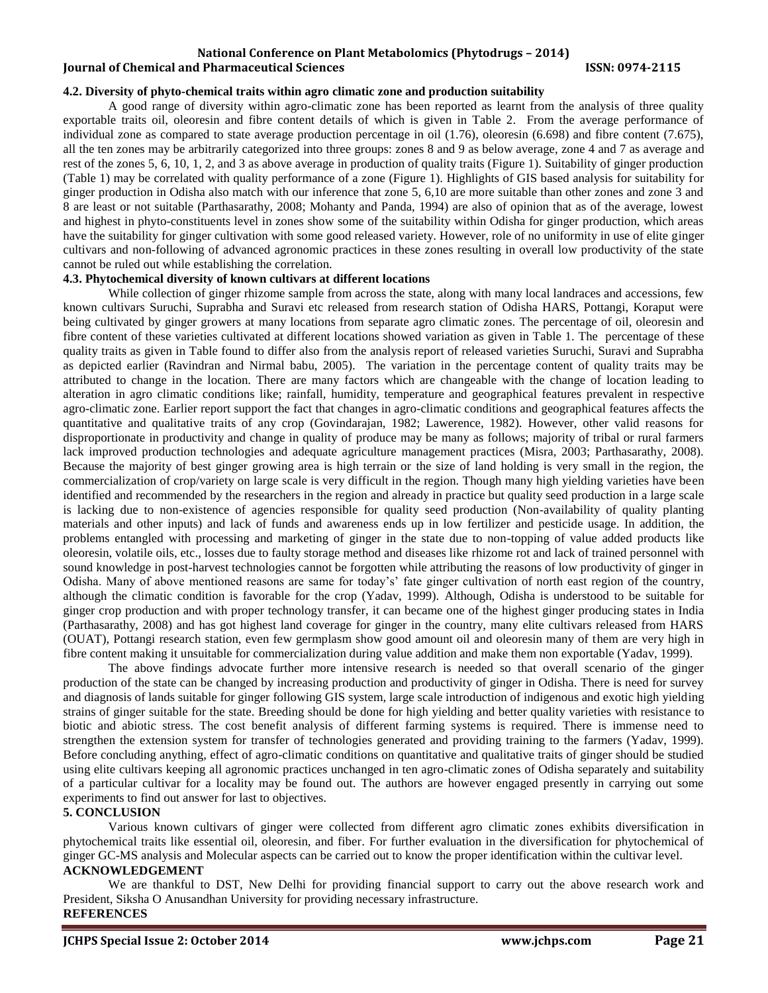### **4.2. Diversity of phyto-chemical traits within agro climatic zone and production suitability**

A good range of diversity within agro-climatic zone has been reported as learnt from the analysis of three quality exportable traits oil, oleoresin and fibre content details of which is given in Table 2. From the average performance of individual zone as compared to state average production percentage in oil (1.76), oleoresin (6.698) and fibre content (7.675), all the ten zones may be arbitrarily categorized into three groups: zones 8 and 9 as below average, zone 4 and 7 as average and rest of the zones 5, 6, 10, 1, 2, and 3 as above average in production of quality traits (Figure 1). Suitability of ginger production (Table 1) may be correlated with quality performance of a zone (Figure 1). Highlights of GIS based analysis for suitability for ginger production in Odisha also match with our inference that zone 5, 6,10 are more suitable than other zones and zone 3 and 8 are least or not suitable (Parthasarathy, 2008; Mohanty and Panda, 1994) are also of opinion that as of the average, lowest and highest in phyto-constituents level in zones show some of the suitability within Odisha for ginger production, which areas have the suitability for ginger cultivation with some good released variety. However, role of no uniformity in use of elite ginger cultivars and non-following of advanced agronomic practices in these zones resulting in overall low productivity of the state cannot be ruled out while establishing the correlation.

### **4.3. Phytochemical diversity of known cultivars at different locations**

While collection of ginger rhizome sample from across the state, along with many local landraces and accessions, few known cultivars Suruchi, Suprabha and Suravi etc released from research station of Odisha HARS, Pottangi, Koraput were being cultivated by ginger growers at many locations from separate agro climatic zones. The percentage of oil, oleoresin and fibre content of these varieties cultivated at different locations showed variation as given in Table 1. The percentage of these quality traits as given in Table found to differ also from the analysis report of released varieties Suruchi, Suravi and Suprabha as depicted earlier (Ravindran and Nirmal babu, 2005). The variation in the percentage content of quality traits may be attributed to change in the location. There are many factors which are changeable with the change of location leading to alteration in agro climatic conditions like; rainfall, humidity, temperature and geographical features prevalent in respective agro-climatic zone. Earlier report support the fact that changes in agro-climatic conditions and geographical features affects the quantitative and qualitative traits of any crop (Govindarajan, 1982; Lawerence, 1982). However, other valid reasons for disproportionate in productivity and change in quality of produce may be many as follows; majority of tribal or rural farmers lack improved production technologies and adequate agriculture management practices (Misra, 2003; Parthasarathy, 2008). Because the majority of best ginger growing area is high terrain or the size of land holding is very small in the region, the commercialization of crop/variety on large scale is very difficult in the region. Though many high yielding varieties have been identified and recommended by the researchers in the region and already in practice but quality seed production in a large scale is lacking due to non-existence of agencies responsible for quality seed production (Non-availability of quality planting materials and other inputs) and lack of funds and awareness ends up in low fertilizer and pesticide usage. In addition, the problems entangled with processing and marketing of ginger in the state due to non-topping of value added products like oleoresin, volatile oils, etc., losses due to faulty storage method and diseases like rhizome rot and lack of trained personnel with sound knowledge in post-harvest technologies cannot be forgotten while attributing the reasons of low productivity of ginger in Odisha. Many of above mentioned reasons are same for today's' fate ginger cultivation of north east region of the country, although the climatic condition is favorable for the crop (Yadav, 1999). Although, Odisha is understood to be suitable for ginger crop production and with proper technology transfer, it can became one of the highest ginger producing states in India (Parthasarathy, 2008) and has got highest land coverage for ginger in the country, many elite cultivars released from HARS (OUAT), Pottangi research station, even few germplasm show good amount oil and oleoresin many of them are very high in fibre content making it unsuitable for commercialization during value addition and make them non exportable (Yadav, 1999).

The above findings advocate further more intensive research is needed so that overall scenario of the ginger production of the state can be changed by increasing production and productivity of ginger in Odisha. There is need for survey and diagnosis of lands suitable for ginger following GIS system, large scale introduction of indigenous and exotic high yielding strains of ginger suitable for the state. Breeding should be done for high yielding and better quality varieties with resistance to biotic and abiotic stress. The cost benefit analysis of different farming systems is required. There is immense need to strengthen the extension system for transfer of technologies generated and providing training to the farmers (Yadav, 1999). Before concluding anything, effect of agro-climatic conditions on quantitative and qualitative traits of ginger should be studied using elite cultivars keeping all agronomic practices unchanged in ten agro-climatic zones of Odisha separately and suitability of a particular cultivar for a locality may be found out. The authors are however engaged presently in carrying out some experiments to find out answer for last to objectives.

#### **5. CONCLUSION**

Various known cultivars of ginger were collected from different agro climatic zones exhibits diversification in phytochemical traits like essential oil, oleoresin, and fiber. For further evaluation in the diversification for phytochemical of ginger GC-MS analysis and Molecular aspects can be carried out to know the proper identification within the cultivar level.

# **ACKNOWLEDGEMENT**

We are thankful to DST, New Delhi for providing financial support to carry out the above research work and President, Siksha O Anusandhan University for providing necessary infrastructure. **REFERENCES**